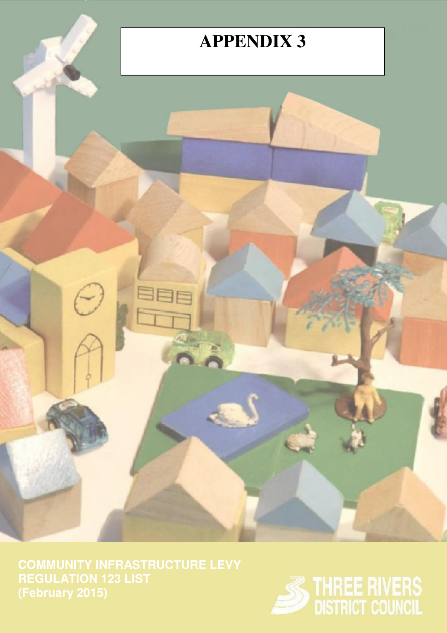

**COMMUNITY INFRASTRUCTURE LEVY REGULATION 123 LIST**